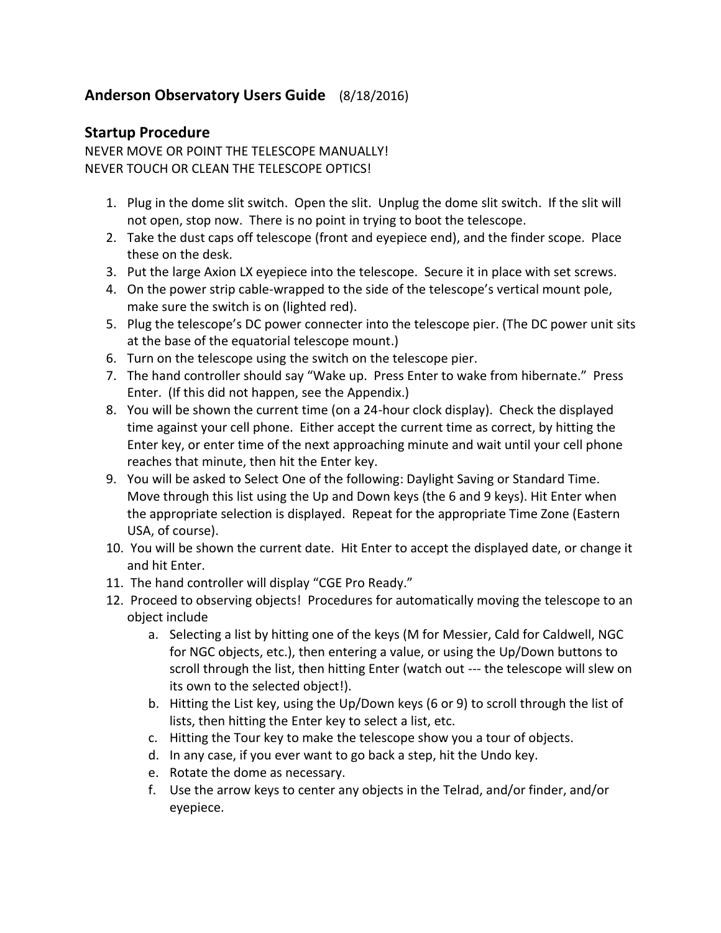## **Anderson Observatory Users Guide** (8/18/2016)

### **Startup Procedure**

NEVER MOVE OR POINT THE TELESCOPE MANUALLY! NEVER TOUCH OR CLEAN THE TELESCOPE OPTICS!

- 1. Plug in the dome slit switch. Open the slit. Unplug the dome slit switch. If the slit will not open, stop now. There is no point in trying to boot the telescope.
- 2. Take the dust caps off telescope (front and eyepiece end), and the finder scope. Place these on the desk.
- 3. Put the large Axion LX eyepiece into the telescope. Secure it in place with set screws.
- 4. On the power strip cable-wrapped to the side of the telescope's vertical mount pole, make sure the switch is on (lighted red).
- 5. Plug the telescope's DC power connecter into the telescope pier. (The DC power unit sits at the base of the equatorial telescope mount.)
- 6. Turn on the telescope using the switch on the telescope pier.
- 7. The hand controller should say "Wake up. Press Enter to wake from hibernate." Press Enter. (If this did not happen, see the Appendix.)
- 8. You will be shown the current time (on a 24-hour clock display). Check the displayed time against your cell phone. Either accept the current time as correct, by hitting the Enter key, or enter time of the next approaching minute and wait until your cell phone reaches that minute, then hit the Enter key.
- 9. You will be asked to Select One of the following: Daylight Saving or Standard Time. Move through this list using the Up and Down keys (the 6 and 9 keys). Hit Enter when the appropriate selection is displayed. Repeat for the appropriate Time Zone (Eastern USA, of course).
- 10. You will be shown the current date. Hit Enter to accept the displayed date, or change it and hit Enter.
- 11. The hand controller will display "CGE Pro Ready."
- 12. Proceed to observing objects! Procedures for automatically moving the telescope to an object include
	- a. Selecting a list by hitting one of the keys (M for Messier, Cald for Caldwell, NGC for NGC objects, etc.), then entering a value, or using the Up/Down buttons to scroll through the list, then hitting Enter (watch out --- the telescope will slew on its own to the selected object!).
	- b. Hitting the List key, using the Up/Down keys (6 or 9) to scroll through the list of lists, then hitting the Enter key to select a list, etc.
	- c. Hitting the Tour key to make the telescope show you a tour of objects.
	- d. In any case, if you ever want to go back a step, hit the Undo key.
	- e. Rotate the dome as necessary.
	- f. Use the arrow keys to center any objects in the Telrad, and/or finder, and/or eyepiece.